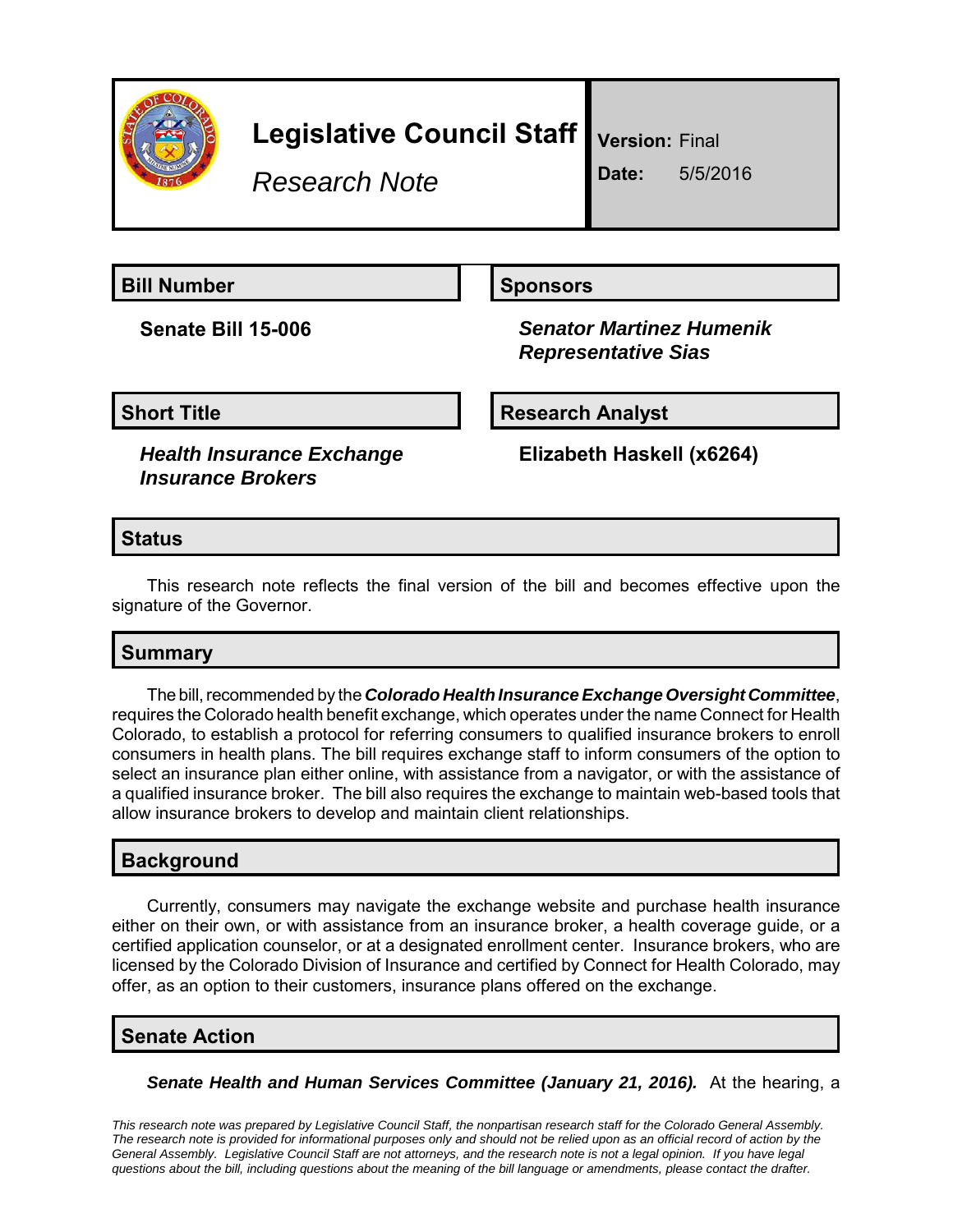

# **Legislative Council Staff**

*Research Note*

**Version:** Final

**Date:** 5/5/2016

**Bill Number Sponsors** 

**Senate Bill 15-006** *Senator Martinez Humenik Representative Sias*

**Short Title Community Community Community Research Analyst** 

*Health Insurance Exchange Insurance Brokers*

**Elizabeth Haskell (x6264)**

### **Status**

This research note reflects the final version of the bill and becomes effective upon the signature of the Governor.

### **Summary**

The bill, recommended by the *Colorado Health Insurance Exchange Oversight Committee*, requires the Colorado health benefit exchange, which operates under the name Connect for Health Colorado, to establish a protocol for referring consumers to qualified insurance brokers to enroll consumers in health plans. The bill requires exchange staff to inform consumers of the option to select an insurance plan either online, with assistance from a navigator, or with the assistance of a qualified insurance broker. The bill also requires the exchange to maintain web-based tools that allow insurance brokers to develop and maintain client relationships.

### **Background**

Currently, consumers may navigate the exchange website and purchase health insurance either on their own, or with assistance from an insurance broker, a health coverage guide, or a certified application counselor, or at a designated enrollment center. Insurance brokers, who are licensed by the Colorado Division of Insurance and certified by Connect for Health Colorado, may offer, as an option to their customers, insurance plans offered on the exchange.

#### **Senate Action**

**Senate Health and Human Services Committee (January 21, 2016).** At the hearing, a

*This research note was prepared by Legislative Council Staff, the nonpartisan research staff for the Colorado General Assembly. The research note is provided for informational purposes only and should not be relied upon as an official record of action by the General Assembly. Legislative Council Staff are not attorneys, and the research note is not a legal opinion. If you have legal questions about the bill, including questions about the meaning of the bill language or amendments, please contact the drafter.*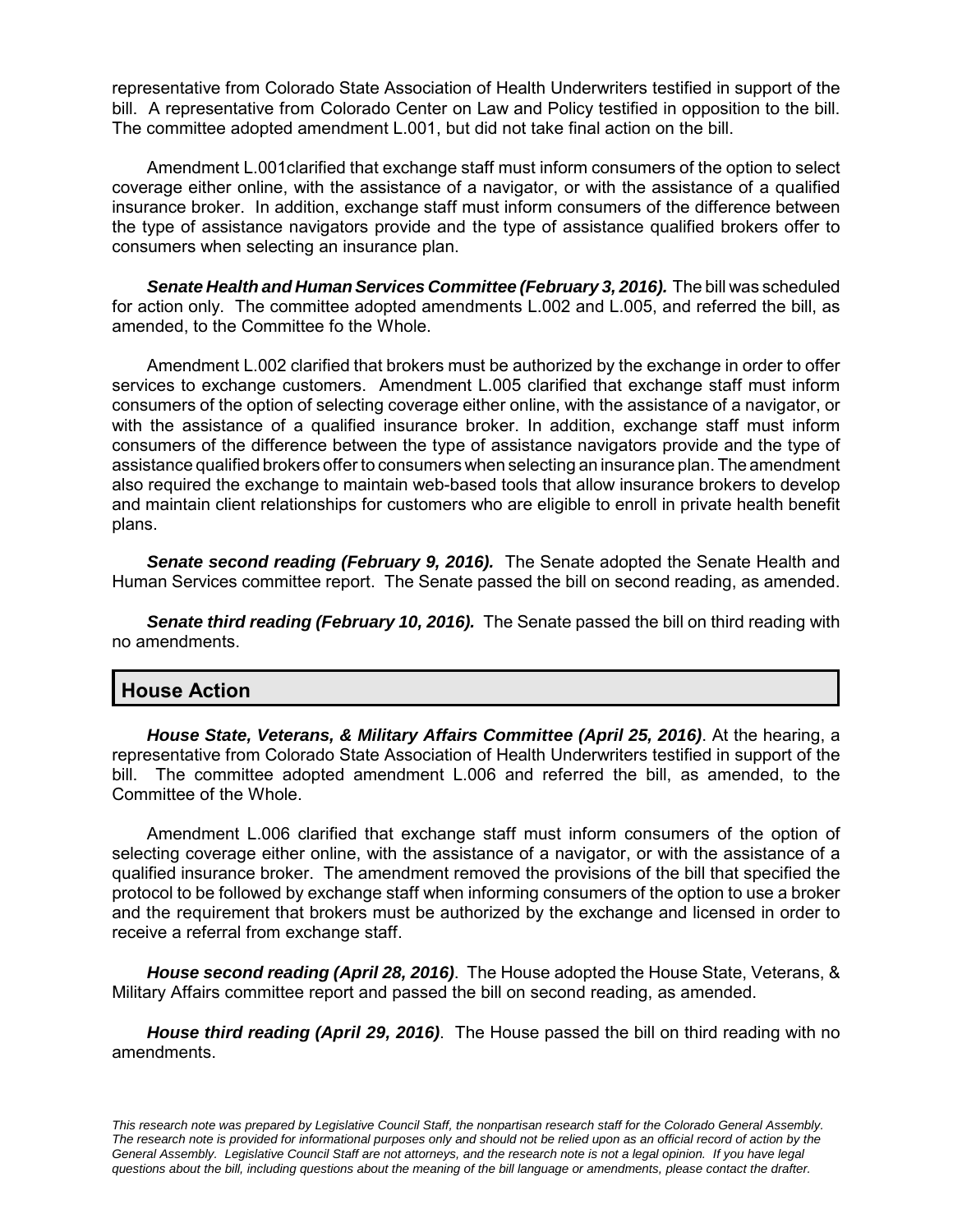representative from Colorado State Association of Health Underwriters testified in support of the bill. A representative from Colorado Center on Law and Policy testified in opposition to the bill. The committee adopted amendment L.001, but did not take final action on the bill.

Amendment L.001clarified that exchange staff must inform consumers of the option to select coverage either online, with the assistance of a navigator, or with the assistance of a qualified insurance broker. In addition, exchange staff must inform consumers of the difference between the type of assistance navigators provide and the type of assistance qualified brokers offer to consumers when selecting an insurance plan.

*Senate Health and Human Services Committee (February 3, 2016).* The bill was scheduled for action only. The committee adopted amendments L.002 and L.005, and referred the bill, as amended, to the Committee fo the Whole.

Amendment L.002 clarified that brokers must be authorized by the exchange in order to offer services to exchange customers. Amendment L.005 clarified that exchange staff must inform consumers of the option of selecting coverage either online, with the assistance of a navigator, or with the assistance of a qualified insurance broker. In addition, exchange staff must inform consumers of the difference between the type of assistance navigators provide and the type of assistance qualified brokers offer to consumers when selecting an insurance plan. The amendment also required the exchange to maintain web-based tools that allow insurance brokers to develop and maintain client relationships for customers who are eligible to enroll in private health benefit plans.

*Senate second reading (February 9, 2016).* The Senate adopted the Senate Health and Human Services committee report. The Senate passed the bill on second reading, as amended.

*Senate third reading (February 10, 2016).* The Senate passed the bill on third reading with no amendments.

## **House Action**

*House State, Veterans, & Military Affairs Committee (April 25, 2016)*. At the hearing, a representative from Colorado State Association of Health Underwriters testified in support of the bill. The committee adopted amendment L.006 and referred the bill, as amended, to the Committee of the Whole.

Amendment L.006 clarified that exchange staff must inform consumers of the option of selecting coverage either online, with the assistance of a navigator, or with the assistance of a qualified insurance broker. The amendment removed the provisions of the bill that specified the protocol to be followed by exchange staff when informing consumers of the option to use a broker and the requirement that brokers must be authorized by the exchange and licensed in order to receive a referral from exchange staff.

*House second reading (April 28, 2016)*. The House adopted the House State, Veterans, & Military Affairs committee report and passed the bill on second reading, as amended.

*House third reading (April 29, 2016)*. The House passed the bill on third reading with no amendments.

*This research note was prepared by Legislative Council Staff, the nonpartisan research staff for the Colorado General Assembly. The research note is provided for informational purposes only and should not be relied upon as an official record of action by the General Assembly. Legislative Council Staff are not attorneys, and the research note is not a legal opinion. If you have legal questions about the bill, including questions about the meaning of the bill language or amendments, please contact the drafter.*